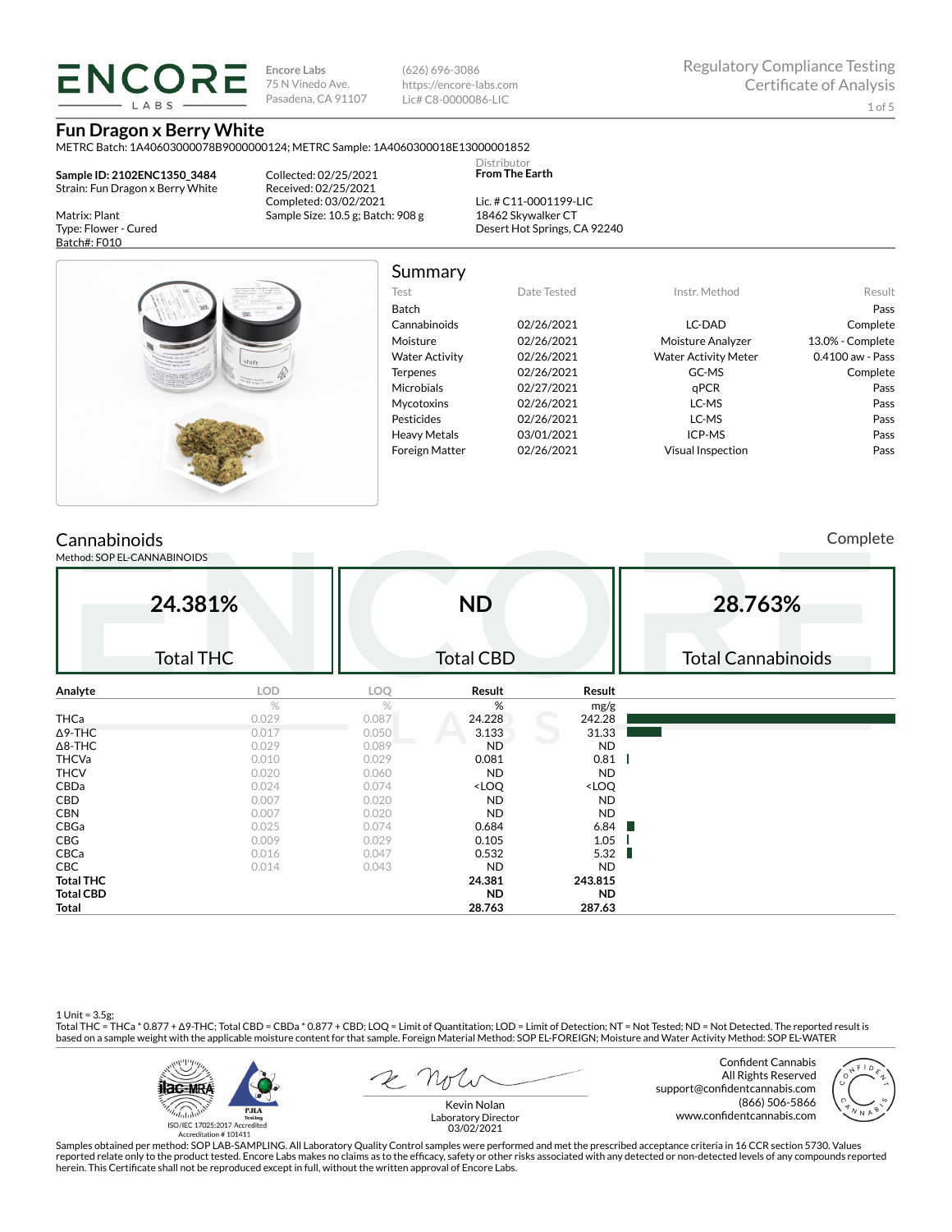**ENCORE Encore Labs** 75 N Vinedo Ave. Pasadena, CA 91107 (626) 696-3086 https://encore-labs.com Lic# C8-0000086-LIC

> Distributor **From The Earth**

**Fun Dragon x Berry White** METRC Batch: 1A40603000078B9000000124; METRC Sample: 1A4060300018E13000001852

**IARS** 

**Sample ID: 2102ENC1350\_3484** Strain: Fun Dragon x Berry White

Matrix: Plant Type: Flower - Cured Batch#: F010

Collected: 02/25/2021 Received: 02/25/2021 Completed: 03/02/2021 Sample Size: 10.5 g; Batch: 908 g

Lic. # C11-0001199-LIC 18462 Skywalker CT Desert Hot Springs, CA 92240



# Summary

| Test                  | Date Tested | Instr. Method               | Result           |
|-----------------------|-------------|-----------------------------|------------------|
| <b>Batch</b>          |             |                             | Pass             |
| Cannabinoids          | 02/26/2021  | LC-DAD                      | Complete         |
| Moisture              | 02/26/2021  | Moisture Analyzer           | 13.0% - Complete |
| <b>Water Activity</b> | 02/26/2021  | <b>Water Activity Meter</b> | 0.4100 aw - Pass |
| <b>Terpenes</b>       | 02/26/2021  | GC-MS                       | Complete         |
| <b>Microbials</b>     | 02/27/2021  | aPCR                        | Pass             |
| <b>Mycotoxins</b>     | 02/26/2021  | LC-MS                       | Pass             |
| Pesticides            | 02/26/2021  | LC-MS                       | Pass             |
| <b>Heavy Metals</b>   | 03/01/2021  | ICP-MS                      | Pass             |
| <b>Foreign Matter</b> | 02/26/2021  | <b>Visual Inspection</b>    | Pass             |

# **Cannabinoids**

Method: SOP EL-CANNABINOIDS

Complete

|                  | 24.381%          |       | <b>ND</b>                                                |                              | 28.763%                   |
|------------------|------------------|-------|----------------------------------------------------------|------------------------------|---------------------------|
|                  | <b>Total THC</b> |       | <b>Total CBD</b>                                         |                              | <b>Total Cannabinoids</b> |
| Analyte          | LOD              | LOQ   | Result                                                   | Result                       |                           |
|                  | %                | %     | %                                                        | mg/g                         |                           |
| <b>THCa</b>      | 0.029            | 0.087 | 24.228                                                   | 242.28                       |                           |
| $\Delta$ 9-THC   | 0.017            | 0.050 | 3.133                                                    | 31.33                        |                           |
| $\Delta$ 8-THC   | 0.029            | 0.089 | <b>ND</b>                                                | <b>ND</b>                    |                           |
| <b>THCVa</b>     | 0.010            | 0.029 | 0.081                                                    | 0.81                         |                           |
| <b>THCV</b>      | 0.020            | 0.060 | <b>ND</b>                                                | <b>ND</b>                    |                           |
| CBDa             | 0.024            | 0.074 | <loq< td=""><td><loq< td=""><td></td></loq<></td></loq<> | <loq< td=""><td></td></loq<> |                           |
| <b>CBD</b>       | 0.007            | 0.020 | <b>ND</b>                                                | <b>ND</b>                    |                           |
| <b>CBN</b>       | 0.007            | 0.020 | <b>ND</b>                                                | <b>ND</b>                    |                           |
| CBGa             | 0.025            | 0.074 | 0.684                                                    | 6.84<br>ш                    |                           |
| CBG              | 0.009            | 0.029 | 0.105                                                    | 1.05                         |                           |
| CBCa             | 0.016            | 0.047 | 0.532                                                    | 5.32<br>ш                    |                           |
| CBC              | 0.014            | 0.043 | <b>ND</b>                                                | <b>ND</b>                    |                           |
| <b>Total THC</b> |                  |       | 24.381                                                   | 243.815                      |                           |
| <b>Total CBD</b> |                  |       | ND.                                                      | <b>ND</b>                    |                           |
| <b>Total</b>     |                  |       | 28.763                                                   | 287.63                       |                           |

1 Unit = 3.5g;<br>Total THC = THCa \* 0.877 + ∆9-THC; Total CBD = CBDa \* 0.877 + CBD; LOQ = Limit of Quantitation; LOD = Limit of Detection; NT = Not Tested; ND = Not Detected. The reported result is based on a sample weight with the applicable moisture content for that sample. Foreign Material Method: SOP EL-FOREIGN; Moisture and Water Activity Method: SOP EL-WATER



Confident Cannabis All Rights Reserved support@confidentcannabis.com (866) 506-5866 www.confidentcannabis.com



Kevin Nolan Laboratory Director 03/02/2021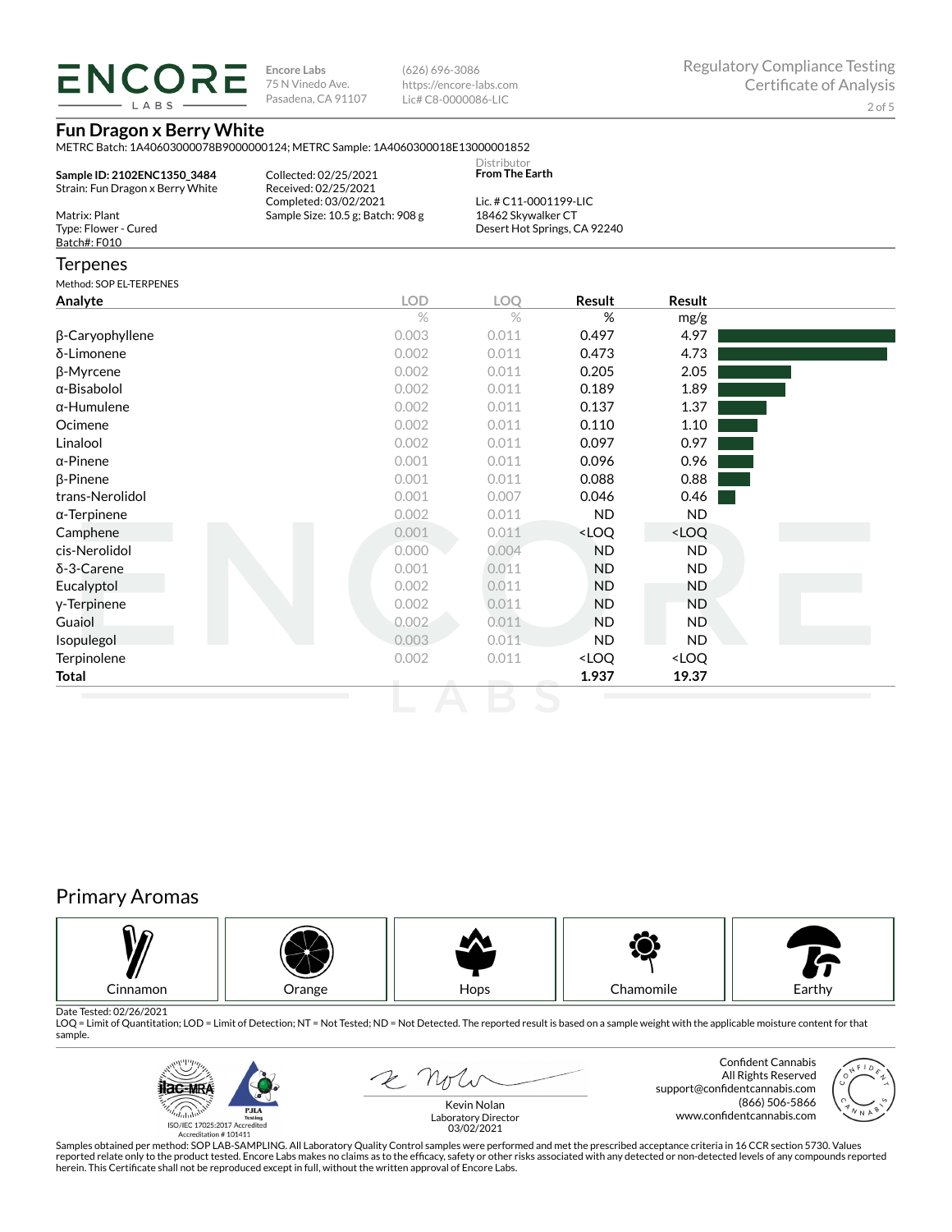LABS

**Encore Labs** 75 N Vinedo Ave. Pasadena, CA 91107

(626) 696-3086 https://encore-labs.com Lic# C8-0000086-LIC

### **Fun Dragon x Berry White**

METRC Batch: 1A40603000078B9000000124; METRC Sample: 1A4060300018E13000001852

| Sample ID: 2102ENC1350 3484<br>Strain: Fun Dragon x Berry White | Collected: 02/25/2021<br>Received: 02/25/2021 | Distributor<br>From The Earth |
|-----------------------------------------------------------------|-----------------------------------------------|-------------------------------|
|                                                                 | Completed: 03/02/2021                         | Lic. # C11-0001199-LIC        |
| Matrix: Plant                                                   | Sample Size: 10.5 g; Batch: 908 g             | 18462 Skywalker CT            |
| Type: Flower - Cured                                            |                                               | Desert Hot Springs, CA 92240  |
| Batch#: F010                                                    |                                               |                               |

### **Terpenes**

Method: SOP EL-TERPENES

| Analyte                | <b>LOD</b>    | LOQ           | Result                                                   | Result                       |  |
|------------------------|---------------|---------------|----------------------------------------------------------|------------------------------|--|
|                        | $\frac{1}{2}$ | $\frac{1}{2}$ | %                                                        | mg/g                         |  |
| $\beta$ -Caryophyllene | 0.003         | 0.011         | 0.497                                                    | 4.97                         |  |
| δ-Limonene             | 0.002         | 0.011         | 0.473                                                    | 4.73                         |  |
| β-Myrcene              | 0.002         | 0.011         | 0.205                                                    | 2.05                         |  |
| α-Bisabolol            | 0.002         | 0.011         | 0.189                                                    | 1.89                         |  |
| $\alpha$ -Humulene     | 0.002         | 0.011         | 0.137                                                    | 1.37                         |  |
| Ocimene                | 0.002         | 0.011         | 0.110                                                    | 1.10                         |  |
| Linalool               | 0.002         | 0.011         | 0.097                                                    | 0.97                         |  |
| $\alpha$ -Pinene       | 0.001         | 0.011         | 0.096                                                    | 0.96                         |  |
| $\beta$ -Pinene        | 0.001         | 0.011         | 0.088                                                    | 0.88                         |  |
| trans-Nerolidol        | 0.001         | 0.007         | 0.046                                                    | 0.46                         |  |
| $\alpha$ -Terpinene    | 0.002         | 0.011         | ND.                                                      | <b>ND</b>                    |  |
| Camphene               | 0.001         | 0.011         | <loq< td=""><td><loq< td=""><td></td></loq<></td></loq<> | <loq< td=""><td></td></loq<> |  |
| cis-Nerolidol          | 0.000         | 0.004         | <b>ND</b>                                                | ND.                          |  |
| $\delta$ -3-Carene     | 0.001         | 0.011         | <b>ND</b>                                                | ND.                          |  |
| Eucalyptol             | 0.002         | 0.011         | <b>ND</b>                                                | ND                           |  |
| y-Terpinene            | 0.002         | 0.011         | <b>ND</b>                                                | <b>ND</b>                    |  |
| Guaiol                 | 0.002         | 0.011         | <b>ND</b>                                                | <b>ND</b>                    |  |
| Isopulegol             | 0.003         | 0.011         | ND.                                                      | <b>ND</b>                    |  |
| Terpinolene            | 0.002         | 0.011         | <loq< td=""><td><loq< td=""><td></td></loq<></td></loq<> | <loq< td=""><td></td></loq<> |  |
| Total                  |               |               | 1.937                                                    | 19.37                        |  |

# Primary Aromas



Date Tested: 02/26/2021<br>LOQ = Limit of Quantitation; LOD = Limit of Detection; NT = Not Tested; ND = Not Detected. The reported result is based on a sample weight with the applicable moisture content for that sample.



2 Not

Confident Cannabis All Rights Reserved support@confidentcannabis.com (866) 506-5866 www.confidentcannabis.com



Kevin Nolan Laboratory Director 03/02/2021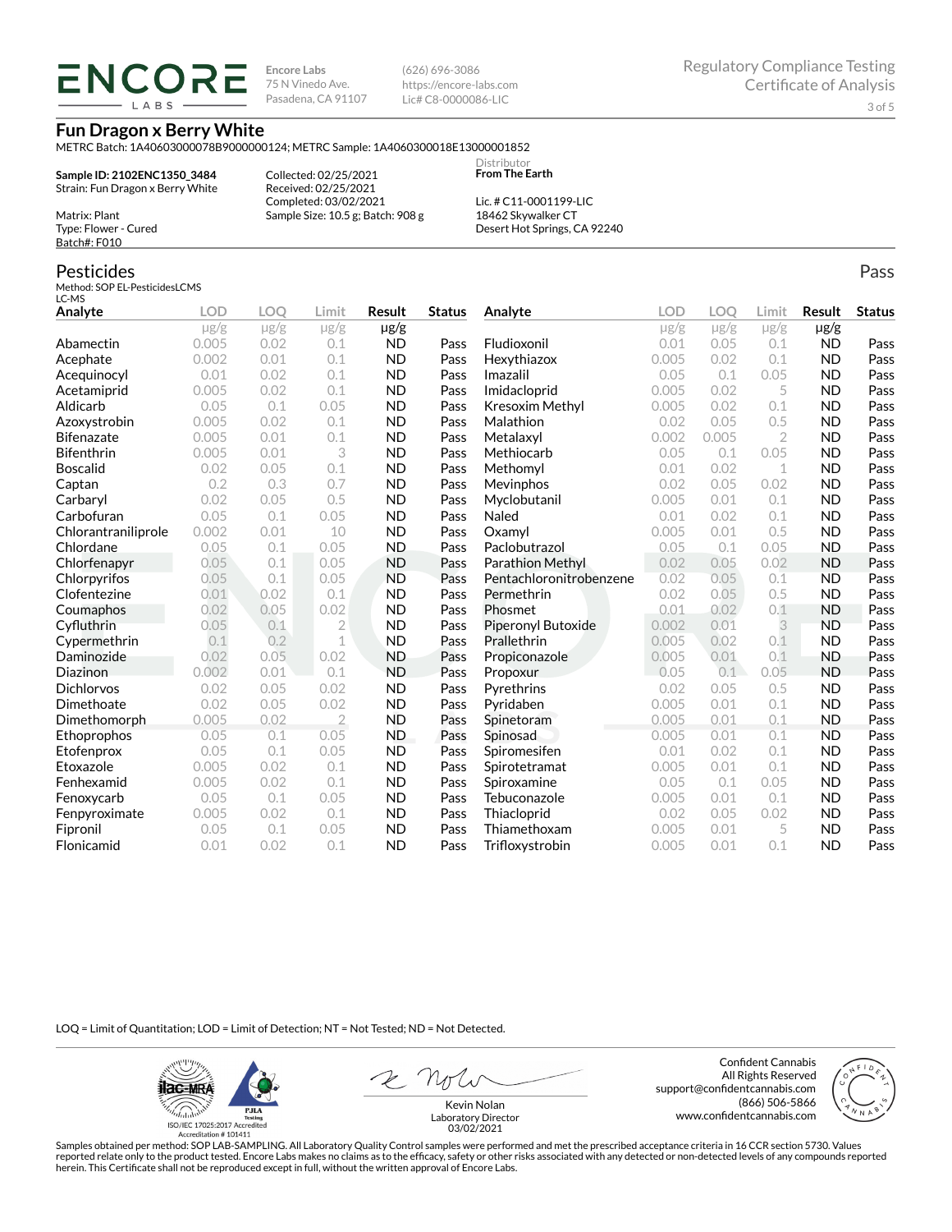**ENCORE** 

**Encore Labs** 75 N Vinedo Ave. Pasadena, CA 91107 (626) 696-3086 https://encore-labs.com Lic# C8-0000086-LIC

**Fun Dragon x Berry White**

METRC Batch: 1A40603000078B9000000124; METRC Sample: 1A4060300018E13000001852 **Distributor** 

**Sample ID: 2102ENC1350\_3484** Strain: Fun Dragon x Berry White

Method: SOP EL-PesticidesLCMS

Matrix: Plant Type: Flower - Cured Batch#: F010

Pesticides

LC-MS

Collected: 02/25/2021 Received: 02/25/2021 Completed: 03/02/2021 Sample Size: 10.5 g; Batch: 908 g

Lic. # C11-0001199-LIC 18462 Skywalker CT Desert Hot Springs, CA 92240

**From The Earth**

### **Analyte LOD LOQ Limit Result Status**  $\mu$ g/g  $\mu$ g/g  $\mu$ g/g  $\mu$ g/g Abamectin 0.005 0.02 0.1 ND Pass Acephate 0.002 0.01 0.1 ND Pass Acequinocyl 0.01 0.02 0.1 ND Pass Acetamiprid 0.005 0.02 0.1 ND Pass Aldicarb 0.05 0.1 0.05 ND Pass Azoxystrobin 0.005 0.02 0.1 ND Pass Bifenazate 0.005 0.01 0.1 ND Pass Bifenthrin 0.005 0.01 3 ND Pass Boscalid 0.02 0.05 0.1 ND Pass **Captan 12 0.2 0.3 0.7 ND Pass Carbaryl 0.02 0.05 0.5 ND Pass** Carbofuran 0.05 0.1 0.05 ND Pass Chlorantraniliprole 0.002 0.01 10 ND Pass Chlordane 0.05 0.1 0.05 ND Pass Chlorfenapyr 0.05 0.1 0.05 ND Pass Chlorpyrifos 0.05 0.1 0.05 ND Pass Clofentezine 0.01 0.02 0.1 ND Pass Coumaphos 0.02 0.05 0.02 ND Pass Cyfluthrin 0.05 0.1 2 ND Pass Cypermethrin 0.1 0.2 1 ND Pass Daminozide 0.02 0.05 0.02 ND Pass **Diazinon** 0.002 0.01 0.1 ND Pass Dichlorvos 0.02 0.05 0.02 ND Pass **Analyte LOD LOQ Limit Result Status**  $\mu$ g/g  $\mu$ g/g  $\mu$ g/g  $\mu$ g/g Fludioxonil 0.01 0.05 0.1 ND Pass Hexythiazox 0.005 0.02 0.1 ND Pass **Imazalil 11 0.05 0.1 0.05 ND Pass** Imidacloprid 0.005 0.02 5 ND Pass Kresoxim Methyl  $0.005$  0.02 0.1 ND Pass **Malathion** 0.02 0.05 0.5 **ND Pass** Metalaxyl 0.002 0.005 2 ND Pass Methiocarb 0.05 0.1 0.05 ND Pass **Methomyl** 0.01 0.02 1 **ND Pass** Mevinphos 0.02 0.05 0.02 ND Pass Myclobutanil 0.005 0.01 0.1 ND Pass **Naled 1200 0.01 0.02 0.1 ND Pass Oxamyl** 0.005 0.01 0.5 **ND Pass** Paclobutrazol 0.05 0.1 0.05 ND Pass Parathion Methyl 0.02 0.05 0.02 ND Pass Pentachloronitrobenzene 0.02 0.05 0.1 ND Pass Permethrin 0.02 0.05 0.5 ND Pass Phosmet 0.01 0.02 0.1 ND Pass Piperonyl Butoxide 0.002 0.01 3 ND Pass Prallethrin 0.005 0.02 0.1 ND Pass Propiconazole 0.005 0.01 0.1 ND Pass **Propoxur 1988 0.05 0.1 0.05 ND Pass** Pyrethrins 0.02 0.05 0.5 ND Pass

LOQ = Limit of Quantitation; LOD = Limit of Detection; NT = Not Tested; ND = Not Detected.

Dimethoate 0.02 0.05 0.02 ND Pass Dimethomorph 0.005 0.02 2 ND Pass Ethoprophos 0.05 0.1 0.05 ND Pass Etofenprox 0.05 0.1 0.05 ND Pass Etoxazole 0.005 0.02 0.1 ND Pass Fenhexamid 0.005 0.02 0.1 ND Pass Fenoxycarb 0.05 0.1 0.05 ND Pass Fenpyroximate 0.005 0.02 0.1 ND Pass Fipronil 0.05 0.1 0.05 ND Pass Flonicamid 0.01 0.02 0.1 ND Pass

**ilac-MR PJLA**  $d_{\rm obs}$ ISO/IEC 17025:2017 Accredited

Accreditation #101411

Z Note

Confident Cannabis All Rights Reserved support@confidentcannabis.com (866) 506-5866 www.confidentcannabis.com

**Pyridaben 1988 0.005 0.01 0.1 ND Pass Spinetoram 0.005 0.01 0.1 ND Pass** Spinosad 0.005 0.01 0.1 ND Pass Spiromesifen 0.01 0.02 0.1 ND Pass Spirotetramat 0.005 0.01 0.1 ND Pass Spiroxamine 0.05 0.1 0.05 ND Pass Tebuconazole 0.005 0.01 0.1 ND Pass Thiacloprid 0.02 0.05 0.02 ND Pass Thiamethoxam 0.005 0.01 5 ND Pass Trifloxystrobin 0.005 0.01 0.1 ND Pass



Kevin Nolan Laboratory Director 03/02/2021

Samples obtained per method: SOP LAB-SAMPLING. All Laboratory Quality Control samples were performed and met the prescribed acceptance criteria in 16 CCR section 5730. Values reported relate only to the product tested. Encore Labs makes no claims as to the efficacy, safety or other risks associated with any detected or non-detected levels of any compounds reported herein. This Certificate shall not be reproduced except in full, without the written approval of Encore Labs.

Pass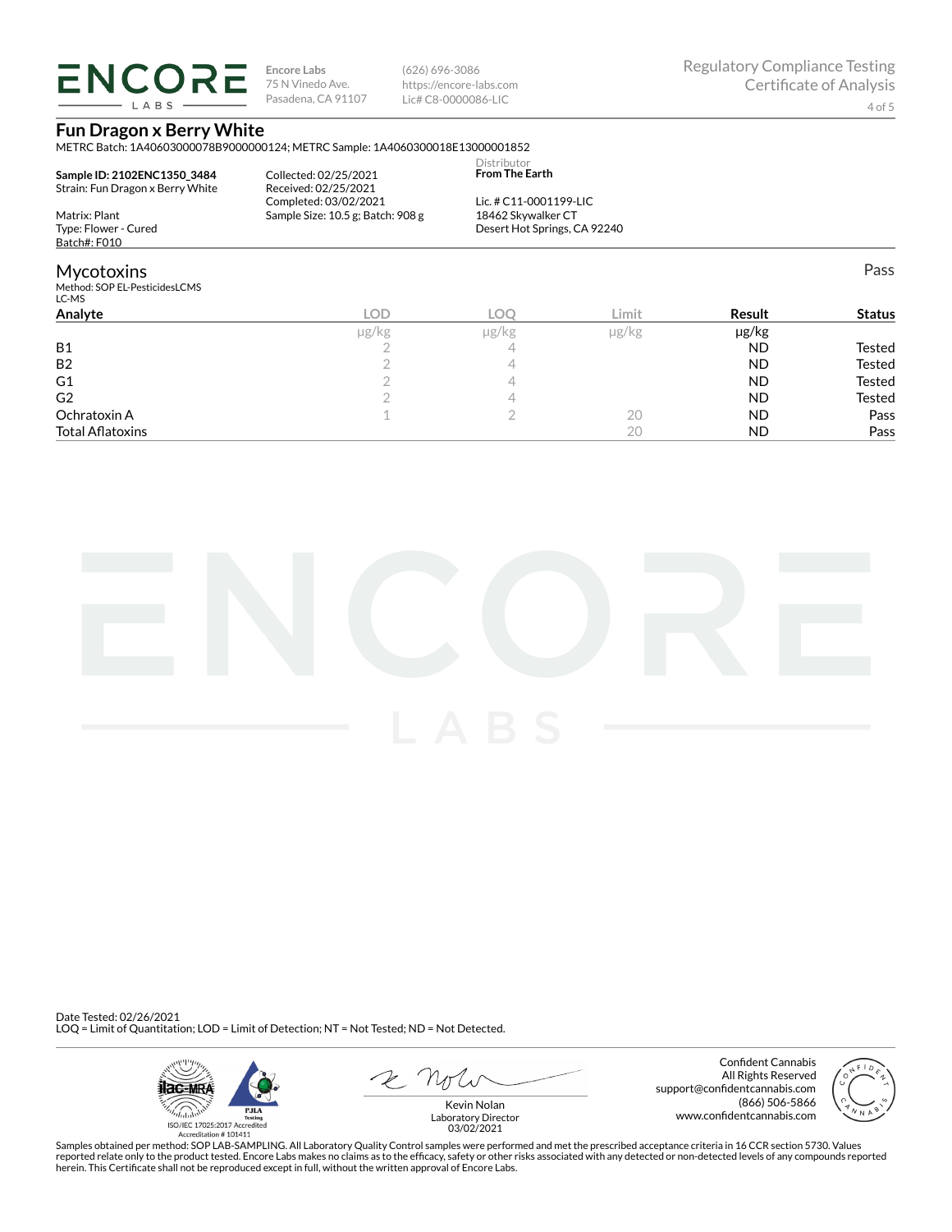**ENCORE** LABS

**Encore Labs** 75 N Vinedo Ave. Pasadena, CA 91107 (626) 696-3086 https://encore-labs.com Lic# C8-0000086-LIC

Pass

### **Fun Dragon x Berry White**

METRC Batch: 1A40603000078B9000000124; METRC Sample: 1A4060300018E13000001852

| Sample ID: 2102ENC1350 3484      | Collected: 02/25/2021             | <b>Distributor</b><br><b>From The Earth</b> |
|----------------------------------|-----------------------------------|---------------------------------------------|
| Strain: Fun Dragon x Berry White | Received: 02/25/2021              |                                             |
|                                  | Completed: 03/02/2021             | Lic. # $C11-0001199-LLC$                    |
| Matrix: Plant                    | Sample Size: 10.5 g; Batch: 908 g | 18462 Skywalker CT                          |
| Type: Flower - Cured             |                                   | Desert Hot Springs, CA 92240                |
| Batch#: F010                     |                                   |                                             |

### **Mycotoxins**

Method: SOP EL-PesticidesLCMS

| LC-MS                   |            |            |               |           |               |
|-------------------------|------------|------------|---------------|-----------|---------------|
| Analyte                 | <b>LOD</b> | <b>LOC</b> | Limit         | Result    | <b>Status</b> |
|                         | µg/kg      | µg/kg      | $\mu$ g/ $kg$ | µg/kg     |               |
| <b>B1</b>               |            |            |               | <b>ND</b> | Tested        |
| B <sub>2</sub>          |            |            |               | <b>ND</b> | <b>Tested</b> |
| G <sub>1</sub>          |            |            |               | <b>ND</b> | <b>Tested</b> |
| G <sub>2</sub>          |            |            |               | <b>ND</b> | <b>Tested</b> |
| Ochratoxin A            |            |            | 20            | <b>ND</b> | Pass          |
| <b>Total Aflatoxins</b> |            |            | 20            | <b>ND</b> | Pass          |
|                         |            |            |               |           |               |



Date Tested: 02/26/2021 LOQ = Limit of Quantitation; LOD = Limit of Detection; NT = Not Tested; ND = Not Detected.



 $R$  Mr

Confident Cannabis All Rights Reserved support@confidentcannabis.com (866) 506-5866 www.confidentcannabis.com



Kevin Nolan Laboratory Director 03/02/2021